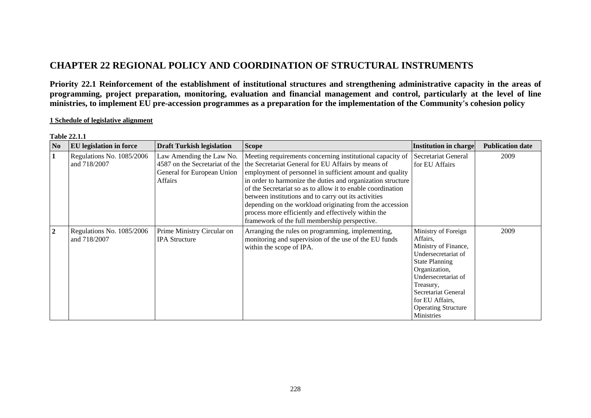# **CHAPTER 22 REGIONAL POLICY AND COORDINATION OF STRUCTURAL INSTRUMENTS**

**Priority 22.1 Reinforcement of the establishment of institutional structures and strengthening administrative capacity in the areas of programming, project preparation, monitoring, evaluation and financial management and control, particularly at the level of line ministries, to implement EU pre-accession programmes as a preparation for the implementation of the Community's cohesion policy**

### **1 Schedule of legislative alignment**

| N <sub>0</sub> | <b>EU</b> legislation in force            | <b>Draft Turkish legislation</b>                                                                    | <b>Scope</b>                                                                                                                                                                                                                                                                                                                                                                                                                                                                                                                          | <b>Institution in charge</b>                                                                                                                                                                                                                       | <b>Publication date</b> |
|----------------|-------------------------------------------|-----------------------------------------------------------------------------------------------------|---------------------------------------------------------------------------------------------------------------------------------------------------------------------------------------------------------------------------------------------------------------------------------------------------------------------------------------------------------------------------------------------------------------------------------------------------------------------------------------------------------------------------------------|----------------------------------------------------------------------------------------------------------------------------------------------------------------------------------------------------------------------------------------------------|-------------------------|
| 1              | Regulations No. 1085/2006<br>and 718/2007 | Law Amending the Law No.<br>4587 on the Secretariat of the<br>General for European Union<br>Affairs | Meeting requirements concerning institutional capacity of<br>the Secretariat General for EU Affairs by means of<br>employment of personnel in sufficient amount and quality<br>in order to harmonize the duties and organization structure<br>of the Secretariat so as to allow it to enable coordination<br>between institutions and to carry out its activities<br>depending on the workload originating from the accession<br>process more efficiently and effectively within the<br>framework of the full membership perspective. | Secretariat General<br>for EU Affairs                                                                                                                                                                                                              | 2009                    |
| $\overline{2}$ | Regulations No. 1085/2006<br>and 718/2007 | Prime Ministry Circular on<br><b>IPA Structure</b>                                                  | Arranging the rules on programming, implementing,<br>monitoring and supervision of the use of the EU funds<br>within the scope of IPA.                                                                                                                                                                                                                                                                                                                                                                                                | Ministry of Foreign<br>Affairs,<br>Ministry of Finance,<br>Undersecretariat of<br><b>State Planning</b><br>Organization,<br>Undersecretariat of<br>Treasury,<br>Secretariat General<br>for EU Affairs,<br><b>Operating Structure</b><br>Ministries | 2009                    |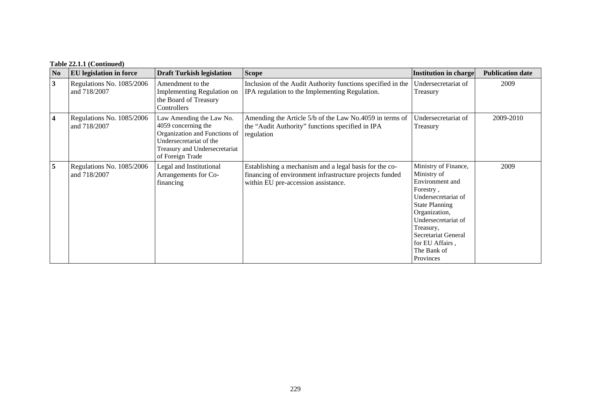## **Table 22.1.1 (Continued)**

| N <sub>0</sub>          | <b>EU</b> legislation in force            | <b>Draft Turkish legislation</b>                                                                                                                                 | <b>Scope</b>                                                                                                                                             | <b>Institution in charge</b>                                                                                                                                                                                                                   | <b>Publication date</b> |
|-------------------------|-------------------------------------------|------------------------------------------------------------------------------------------------------------------------------------------------------------------|----------------------------------------------------------------------------------------------------------------------------------------------------------|------------------------------------------------------------------------------------------------------------------------------------------------------------------------------------------------------------------------------------------------|-------------------------|
| $\mathbf{3}$            | Regulations No. 1085/2006<br>and 718/2007 | Amendment to the<br>Implementing Regulation on<br>the Board of Treasury<br>Controllers                                                                           | Inclusion of the Audit Authority functions specified in the<br>IPA regulation to the Implementing Regulation.                                            | Undersecretariat of<br>Treasury                                                                                                                                                                                                                | 2009                    |
| $\overline{\mathbf{4}}$ | Regulations No. 1085/2006<br>and 718/2007 | Law Amending the Law No.<br>4059 concerning the<br>Organization and Functions of<br>Undersecretariat of the<br>Treasury and Undersecretariat<br>of Foreign Trade | Amending the Article 5/b of the Law No.4059 in terms of<br>the "Audit Authority" functions specified in IPA<br>regulation                                | Undersecretariat of<br>Treasury                                                                                                                                                                                                                | 2009-2010               |
| 5                       | Regulations No. 1085/2006<br>and 718/2007 | Legal and Institutional<br>Arrangements for Co-<br>financing                                                                                                     | Establishing a mechanism and a legal basis for the co-<br>financing of environment infrastructure projects funded<br>within EU pre-accession assistance. | Ministry of Finance,<br>Ministry of<br>Environment and<br>Forestry,<br>Undersecretariat of<br><b>State Planning</b><br>Organization,<br>Undersecretariat of<br>Treasury,<br>Secretariat General<br>for EU Affairs,<br>The Bank of<br>Provinces | 2009                    |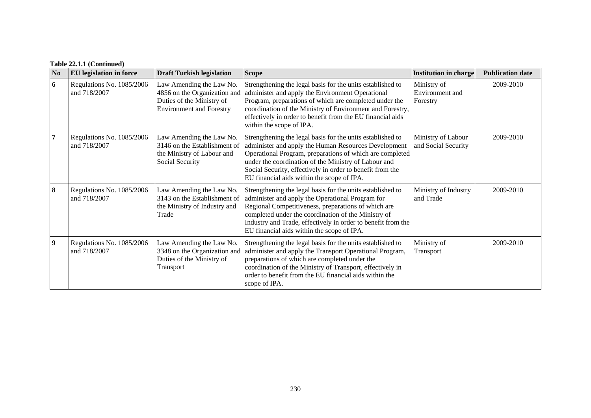| N <sub>0</sub>   | <b>EU</b> legislation in force            | <b>Draft Turkish legislation</b>                                                                                         | <b>Scope</b>                                                                                                                                                                                                                                                                                                                                      | <b>Institution in charge</b>               | <b>Publication date</b> |
|------------------|-------------------------------------------|--------------------------------------------------------------------------------------------------------------------------|---------------------------------------------------------------------------------------------------------------------------------------------------------------------------------------------------------------------------------------------------------------------------------------------------------------------------------------------------|--------------------------------------------|-------------------------|
| 6                | Regulations No. 1085/2006<br>and 718/2007 | Law Amending the Law No.<br>4856 on the Organization and<br>Duties of the Ministry of<br><b>Environment and Forestry</b> | Strengthening the legal basis for the units established to<br>administer and apply the Environment Operational<br>Program, preparations of which are completed under the<br>coordination of the Ministry of Environment and Forestry,<br>effectively in order to benefit from the EU financial aids<br>within the scope of IPA.                   | Ministry of<br>Environment and<br>Forestry | 2009-2010               |
| 7                | Regulations No. 1085/2006<br>and 718/2007 | Law Amending the Law No.<br>3146 on the Establishment of<br>the Ministry of Labour and<br>Social Security                | Strengthening the legal basis for the units established to<br>administer and apply the Human Resources Development<br>Operational Program, preparations of which are completed<br>under the coordination of the Ministry of Labour and<br>Social Security, effectively in order to benefit from the<br>EU financial aids within the scope of IPA. | Ministry of Labour<br>and Social Security  | 2009-2010               |
| 8                | Regulations No. 1085/2006<br>and 718/2007 | Law Amending the Law No.<br>3143 on the Establishment of<br>the Ministry of Industry and<br>Trade                        | Strengthening the legal basis for the units established to<br>administer and apply the Operational Program for<br>Regional Competitiveness, preparations of which are<br>completed under the coordination of the Ministry of<br>Industry and Trade, effectively in order to benefit from the<br>EU financial aids within the scope of IPA.        | Ministry of Industry<br>and Trade          | 2009-2010               |
| $\boldsymbol{9}$ | Regulations No. 1085/2006<br>and 718/2007 | Law Amending the Law No.<br>3348 on the Organization and<br>Duties of the Ministry of<br>Transport                       | Strengthening the legal basis for the units established to<br>administer and apply the Transport Operational Program,<br>preparations of which are completed under the<br>coordination of the Ministry of Transport, effectively in<br>order to benefit from the EU financial aids within the<br>scope of IPA.                                    | Ministry of<br>Transport                   | 2009-2010               |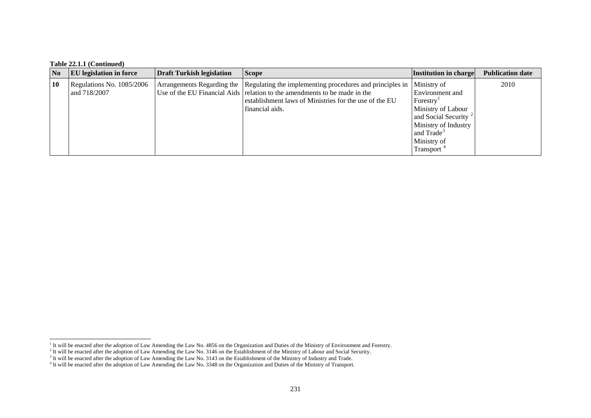### **Table 22.1.1 (Continued)**

| $\overline{\text{No}}$ | <b>EU</b> legislation in force            | Draft Turkish legislation | <b>Scope</b>                                                                                                                                                                                                                                  | <b>Institution in charge</b>                                                                                                                                                                    | <b>Publication date</b> |
|------------------------|-------------------------------------------|---------------------------|-----------------------------------------------------------------------------------------------------------------------------------------------------------------------------------------------------------------------------------------------|-------------------------------------------------------------------------------------------------------------------------------------------------------------------------------------------------|-------------------------|
| 10                     | Regulations No. 1085/2006<br>and 718/2007 |                           | Arrangements Regarding the Regulating the implementing procedures and principles in<br>Use of the EU Financial Aids relation to the amendments to be made in the<br>establishment laws of Ministries for the use of the EU<br>financial aids. | Ministry of<br>Environment and<br>Forestry <sup>1</sup><br>Ministry of Labour<br>and Social Security <sup>2</sup><br>Ministry of Industry<br>and Trade <sup>3</sup><br>Ministry of<br>Transport | 2010                    |

<span id="page-3-1"></span><span id="page-3-0"></span><sup>&</sup>lt;sup>1</sup> It will be enacted after the adoption of Law Amending the Law No. 4856 on the Organization and Duties of the Ministry of Environment and Forestry.

<sup>&</sup>lt;sup>2</sup> It will be enacted after the adoption of Law Amending the Law No. 3146 on the Establishment of the Ministry of Labour and Social Security.

<span id="page-3-2"></span> $3$  It will be enacted after the adoption of Law Amending the Law No. 3143 on the Establishment of the Ministry of Industry and Trade.

<span id="page-3-3"></span><sup>&</sup>lt;sup>4</sup> It will be enacted after the adoption of Law Amending the Law No. 3348 on the Organization and Duties of the Ministry of Transport.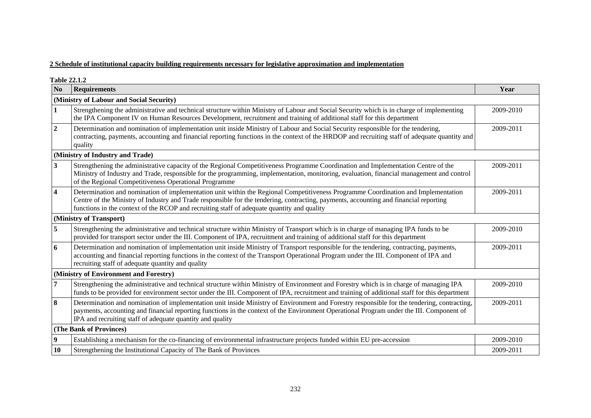### **2 Schedule of institutional capacity building requirements necessary for legislative approximation and implementation**

**Table 22.1.2** 

| N <sub>0</sub>          | <b>Requirements</b>                                                                                                                                                                                                                                                                                                                                                      | Year      |  |  |  |  |
|-------------------------|--------------------------------------------------------------------------------------------------------------------------------------------------------------------------------------------------------------------------------------------------------------------------------------------------------------------------------------------------------------------------|-----------|--|--|--|--|
|                         | (Ministry of Labour and Social Security)                                                                                                                                                                                                                                                                                                                                 |           |  |  |  |  |
|                         | Strengthening the administrative and technical structure within Ministry of Labour and Social Security which is in charge of implementing<br>the IPA Component IV on Human Resources Development, recruitment and training of additional staff for this department                                                                                                       | 2009-2010 |  |  |  |  |
| $\boldsymbol{2}$        | Determination and nomination of implementation unit inside Ministry of Labour and Social Security responsible for the tendering,<br>contracting, payments, accounting and financial reporting functions in the context of the HRDOP and recruiting staff of adequate quantity and<br>quality                                                                             |           |  |  |  |  |
|                         | (Ministry of Industry and Trade)                                                                                                                                                                                                                                                                                                                                         |           |  |  |  |  |
| $\overline{\mathbf{3}}$ | Strengthening the administrative capacity of the Regional Competitiveness Programme Coordination and Implementation Centre of the<br>Ministry of Industry and Trade, responsible for the programming, implementation, monitoring, evaluation, financial management and control<br>of the Regional Competitiveness Operational Programme                                  | 2009-2011 |  |  |  |  |
| $\overline{\mathbf{4}}$ | Determination and nomination of implementation unit within the Regional Competitiveness Programme Coordination and Implementation<br>Centre of the Ministry of Industry and Trade responsible for the tendering, contracting, payments, accounting and financial reporting<br>functions in the context of the RCOP and recruiting staff of adequate quantity and quality | 2009-2011 |  |  |  |  |
|                         | (Ministry of Transport)                                                                                                                                                                                                                                                                                                                                                  |           |  |  |  |  |
| 5                       | Strengthening the administrative and technical structure within Ministry of Transport which is in charge of managing IPA funds to be<br>provided for transport sector under the III. Component of IPA, recruitment and training of additional staff for this department                                                                                                  | 2009-2010 |  |  |  |  |
| 6                       | Determination and nomination of implementation unit inside Ministry of Transport responsible for the tendering, contracting, payments,<br>accounting and financial reporting functions in the context of the Transport Operational Program under the III. Component of IPA and<br>recruiting staff of adequate quantity and quality                                      | 2009-2011 |  |  |  |  |
|                         | (Ministry of Environment and Forestry)                                                                                                                                                                                                                                                                                                                                   |           |  |  |  |  |
| 7                       | Strengthening the administrative and technical structure within Ministry of Environment and Forestry which is in charge of managing IPA<br>funds to be provided for environment sector under the III. Component of IPA, recruitment and training of additional staff for this department                                                                                 | 2009-2010 |  |  |  |  |
| 8                       | Determination and nomination of implementation unit inside Ministry of Environment and Forestry responsible for the tendering, contracting,<br>payments, accounting and financial reporting functions in the context of the Environment Operational Program under the III. Component of<br>IPA and recruiting staff of adequate quantity and quality                     | 2009-2011 |  |  |  |  |
|                         | (The Bank of Provinces)                                                                                                                                                                                                                                                                                                                                                  |           |  |  |  |  |
| 9                       | Establishing a mechanism for the co-financing of environmental infrastructure projects funded within EU pre-accession                                                                                                                                                                                                                                                    | 2009-2010 |  |  |  |  |
| 10                      | Strengthening the Institutional Capacity of The Bank of Provinces                                                                                                                                                                                                                                                                                                        | 2009-2011 |  |  |  |  |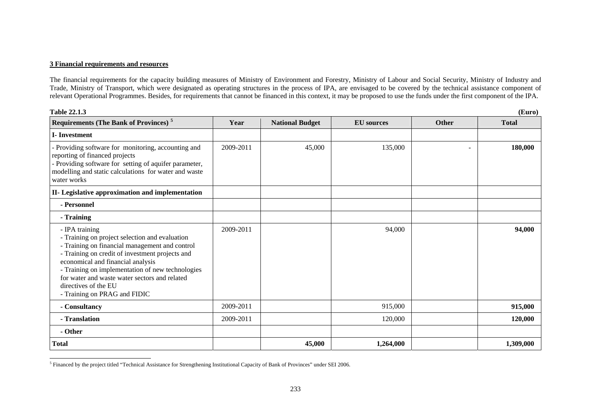### **3 Financial requirements and resources**

The financial requirements for the capacity building measures of Ministry of Environment and Forestry, Ministry of Labour and Social Security, Ministry of Industry and Trade, Ministry of Transport, which were designated as operating structures in the process of IPA, are envisaged to be covered by the technical assistance component of relevant Operational Programmes. Besides, for requirements that cannot be financed in this context, it may be proposed to use the funds under the first component of the IPA.

| Table 22.1.3<br>(Euro)                                                                                                                                                                                                                                                                                                                                                  |           |                        |                   |       |              |
|-------------------------------------------------------------------------------------------------------------------------------------------------------------------------------------------------------------------------------------------------------------------------------------------------------------------------------------------------------------------------|-----------|------------------------|-------------------|-------|--------------|
| <b>Requirements (The Bank of Provinces)</b> <sup>5</sup>                                                                                                                                                                                                                                                                                                                | Year      | <b>National Budget</b> | <b>EU</b> sources | Other | <b>Total</b> |
| <b>I</b> -Investment                                                                                                                                                                                                                                                                                                                                                    |           |                        |                   |       |              |
| - Providing software for monitoring, accounting and<br>reporting of financed projects<br>- Providing software for setting of aquifer parameter,<br>modelling and static calculations for water and waste<br>water works                                                                                                                                                 | 2009-2011 | 45,000                 | 135,000           |       | 180,000      |
| II- Legislative approximation and implementation                                                                                                                                                                                                                                                                                                                        |           |                        |                   |       |              |
| - Personnel                                                                                                                                                                                                                                                                                                                                                             |           |                        |                   |       |              |
| - Training                                                                                                                                                                                                                                                                                                                                                              |           |                        |                   |       |              |
| - IPA training<br>- Training on project selection and evaluation<br>- Training on financial management and control<br>- Training on credit of investment projects and<br>economical and financial analysis<br>- Training on implementation of new technologies<br>for water and waste water sectors and related<br>directives of the EU<br>- Training on PRAG and FIDIC | 2009-2011 |                        | 94,000            |       | 94,000       |
| - Consultancy                                                                                                                                                                                                                                                                                                                                                           | 2009-2011 |                        | 915,000           |       | 915,000      |
| - Translation                                                                                                                                                                                                                                                                                                                                                           | 2009-2011 |                        | 120,000           |       | 120,000      |
| - Other                                                                                                                                                                                                                                                                                                                                                                 |           |                        |                   |       |              |
| <b>Total</b>                                                                                                                                                                                                                                                                                                                                                            |           | 45,000                 | 1,264,000         |       | 1,309,000    |

<span id="page-5-0"></span><sup>5</sup> Financed by the project titled "Technical Assistance for Strengthening Institutional Capacity of Bank of Provinces" under SEI 2006.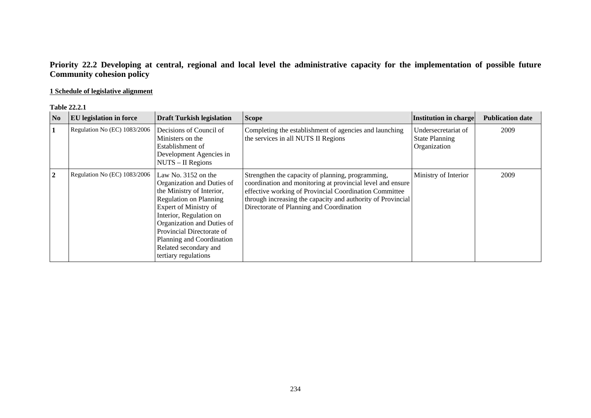## **Priority 22.2 Developing at central, regional and local level the administrative capacity for the implementation of possible future Community cohesion policy**

## **1 Schedule of legislative alignment**

#### **Table 22.2.1**

| N <sub>0</sub> | <b>EU</b> legislation in force | <b>Draft Turkish legislation</b>                                                                                                                                                                                                                                                                               | <b>Scope</b>                                                                                                                                                                                                                                                                         | Institution in charge                                        | <b>Publication date</b> |
|----------------|--------------------------------|----------------------------------------------------------------------------------------------------------------------------------------------------------------------------------------------------------------------------------------------------------------------------------------------------------------|--------------------------------------------------------------------------------------------------------------------------------------------------------------------------------------------------------------------------------------------------------------------------------------|--------------------------------------------------------------|-------------------------|
| 1              | Regulation No (EC) 1083/2006   | Decisions of Council of<br>Ministers on the<br>Establishment of<br>Development Agencies in<br>NUTS - II Regions                                                                                                                                                                                                | Completing the establishment of agencies and launching<br>the services in all NUTS II Regions                                                                                                                                                                                        | Undersecretariat of<br><b>State Planning</b><br>Organization | 2009                    |
| $\mathbf{2}$   | Regulation No (EC) 1083/2006   | Law No. $3152$ on the<br>Organization and Duties of<br>the Ministry of Interior,<br><b>Regulation on Planning</b><br>Expert of Ministry of<br>Interior, Regulation on<br>Organization and Duties of<br>Provincial Directorate of<br>Planning and Coordination<br>Related secondary and<br>tertiary regulations | Strengthen the capacity of planning, programming,<br>coordination and monitoring at provincial level and ensure<br>effective working of Provincial Coordination Committee<br>through increasing the capacity and authority of Provincial<br>Directorate of Planning and Coordination | Ministry of Interior                                         | 2009                    |